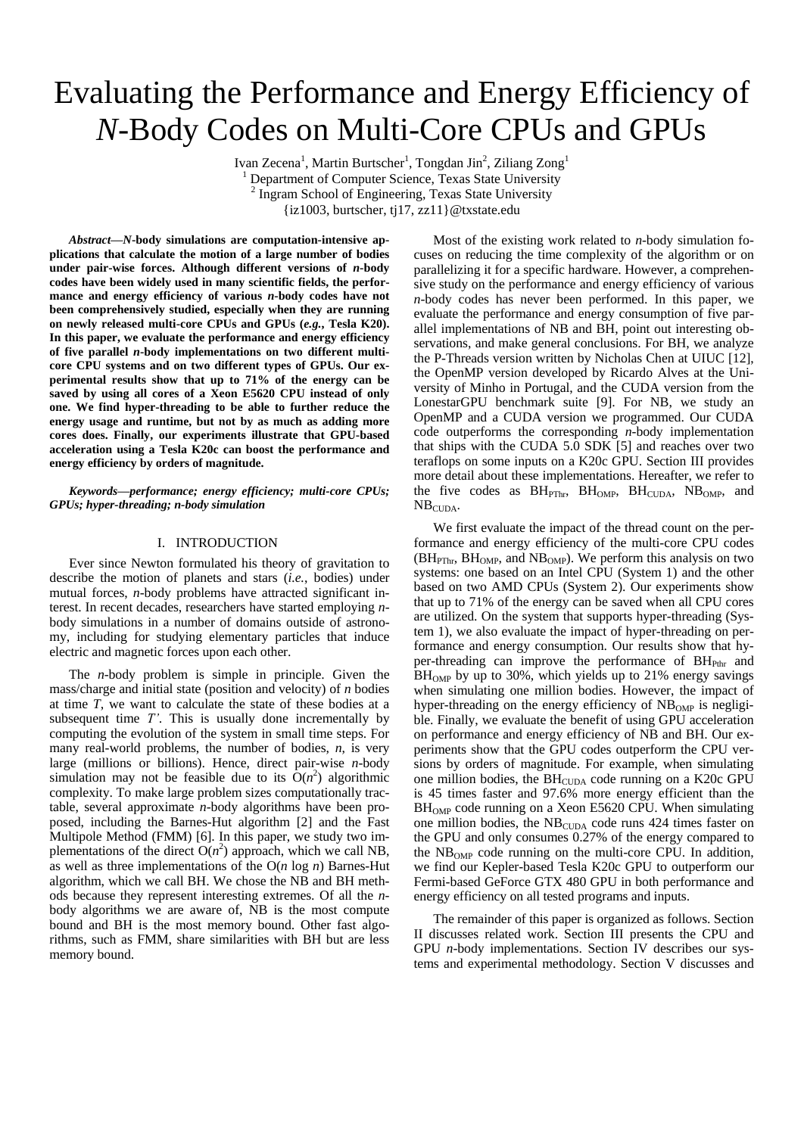# Evaluating the Performance and Energy Efficiency of *N*-Body Codes on Multi-Core CPUs and GPUs

Ivan Zecena<sup>1</sup>, Martin Burtscher<sup>1</sup>, Tongdan Jin<sup>2</sup>, Ziliang Zong<sup>1</sup> Department of Computer Science, Texas State University <sup>2</sup> Ingram School of Engineering, Texas State University {iz1003, burtscher, tj17, zz11}@txstate.edu

*Abstract***—***N***-body simulations are computation-intensive applications that calculate the motion of a large number of bodies under pair-wise forces. Although different versions of** *n***-body codes have been widely used in many scientific fields, the performance and energy efficiency of various** *n***-body codes have not been comprehensively studied, especially when they are running on newly released multi-core CPUs and GPUs (***e.g.***, Tesla K20). In this paper, we evaluate the performance and energy efficiency of five parallel** *n***-body implementations on two different multicore CPU systems and on two different types of GPUs. Our experimental results show that up to 71% of the energy can be saved by using all cores of a Xeon E5620 CPU instead of only one. We find hyper-threading to be able to further reduce the energy usage and runtime, but not by as much as adding more cores does. Finally, our experiments illustrate that GPU-based acceleration using a Tesla K20c can boost the performance and energy efficiency by orders of magnitude.**

*Keywords—performance; energy efficiency; multi-core CPUs; GPUs; hyper-threading; n-body simulation*

## I. INTRODUCTION

Ever since Newton formulated his theory of gravitation to describe the motion of planets and stars (*i.e.*, bodies) under mutual forces, *n*-body problems have attracted significant interest. In recent decades, researchers have started employing *n*body simulations in a number of domains outside of astronomy, including for studying elementary particles that induce electric and magnetic forces upon each other.

The *n*-body problem is simple in principle. Given the mass/charge and initial state (position and velocity) of *n* bodies at time *T*, we want to calculate the state of these bodies at a subsequent time *T'*. This is usually done incrementally by computing the evolution of the system in small time steps. For many real-world problems, the number of bodies, *n*, is very large (millions or billions). Hence, direct pair-wise *n*-body simulation may not be feasible due to its  $\dot{O}(n^2)$  algorithmic complexity. To make large problem sizes computationally tractable, several approximate *n*-body algorithms have been proposed, including the Barnes-Hut algorithm [\[2\]](#page-7-0) and the Fast Multipole Method (FMM) [\[6\].](#page-7-1) In this paper, we study two implementations of the direct  $O(n^2)$  approach, which we call NB, as well as three implementations of the O(*n* log *n*) Barnes-Hut algorithm, which we call BH. We chose the NB and BH methods because they represent interesting extremes. Of all the *n*body algorithms we are aware of, NB is the most compute bound and BH is the most memory bound. Other fast algorithms, such as FMM, share similarities with BH but are less memory bound.

Most of the existing work related to *n*-body simulation focuses on reducing the time complexity of the algorithm or on parallelizing it for a specific hardware. However, a comprehensive study on the performance and energy efficiency of various *n*-body codes has never been performed. In this paper, we evaluate the performance and energy consumption of five parallel implementations of NB and BH, point out interesting observations, and make general conclusions. For BH, we analyze the P-Threads version written by Nicholas Chen at UIUC [\[12\],](#page-7-2) the OpenMP version developed by Ricardo Alves at the University of Minho in Portugal, and the CUDA version from the LonestarGPU benchmark suite [\[9\].](#page-7-3) For NB, we study an OpenMP and a CUDA version we programmed. Our CUDA code outperforms the corresponding *n*-body implementation that ships with the CUDA 5.0 SDK [\[5\]](#page-7-4) and reaches over two teraflops on some inputs on a K20c GPU. Section III provides more detail about these implementations. Hereafter, we refer to the five codes as  $BH_{PThr}$ ,  $BH_{OMP}$ ,  $BH_{CUDA}$ ,  $NB_{OMP}$ , and  $NB<sub>CUDA</sub>$ .

We first evaluate the impact of the thread count on the performance and energy efficiency of the multi-core CPU codes  $(BH_{PThr}, BH_{OMP},$  and  $NB_{OMP}$ ). We perform this analysis on two systems: one based on an Intel CPU (System 1) and the other based on two AMD CPUs (System 2). Our experiments show that up to 71% of the energy can be saved when all CPU cores are utilized. On the system that supports hyper-threading (System 1), we also evaluate the impact of hyper-threading on performance and energy consumption. Our results show that hyper-threading can improve the performance of  $BH<sub>Phr</sub>$  and  $BH<sub>OMP</sub>$  by up to 30%, which yields up to 21% energy savings when simulating one million bodies. However, the impact of hyper-threading on the energy efficiency of  $NB<sub>OMP</sub>$  is negligible. Finally, we evaluate the benefit of using GPU acceleration on performance and energy efficiency of NB and BH. Our experiments show that the GPU codes outperform the CPU versions by orders of magnitude. For example, when simulating one million bodies, the  $BH_{\text{CUDA}}$  code running on a K20c GPU is 45 times faster and 97.6% more energy efficient than the  $BH<sub>OMP</sub> code running on a Xeon E5620 CPU. When simulating$ one million bodies, the NB<sub>CUDA</sub> code runs 424 times faster on the GPU and only consumes 0.27% of the energy compared to the  $NB<sub>OMP</sub> code running on the multi-core CPU. In addition,$ we find our Kepler-based Tesla K20c GPU to outperform our Fermi-based GeForce GTX 480 GPU in both performance and energy efficiency on all tested programs and inputs.

The remainder of this paper is organized as follows. Section II discusses related work. Section III presents the CPU and GPU *n*-body implementations. Section IV describes our systems and experimental methodology. Section V discusses and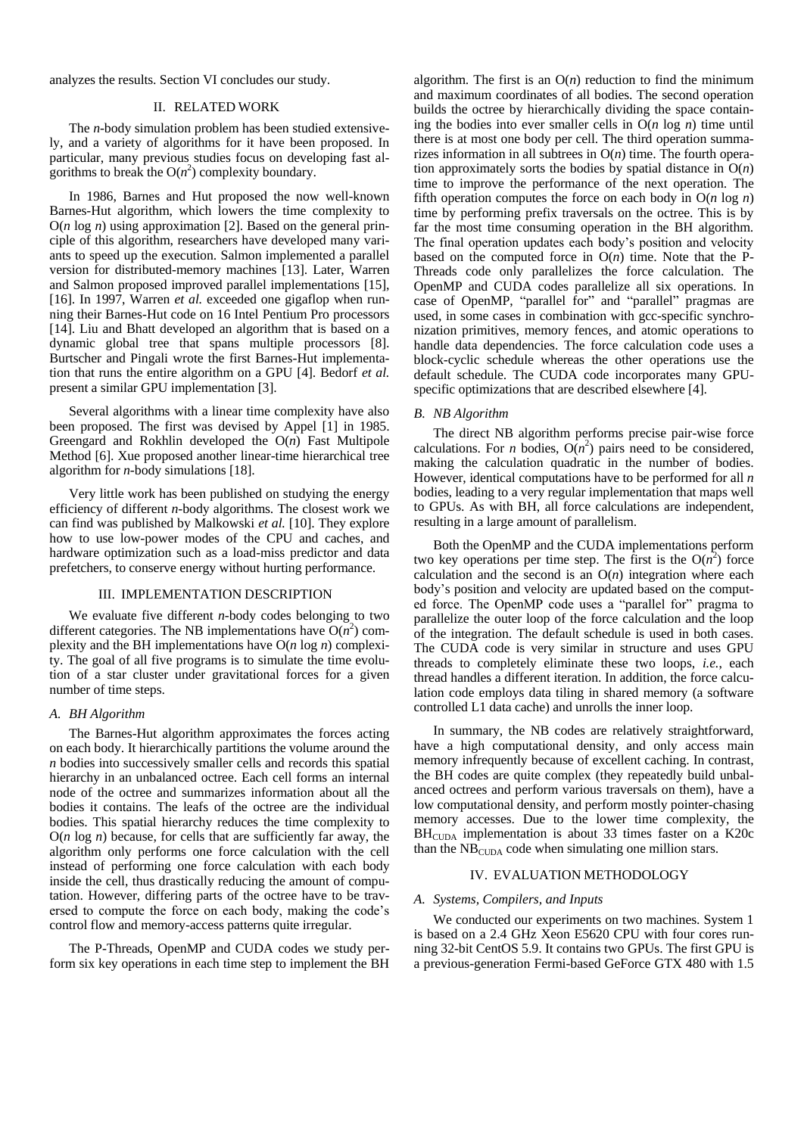analyzes the results. Section VI concludes our study.

#### II. RELATED WORK

The *n*-body simulation problem has been studied extensively, and a variety of algorithms for it have been proposed. In particular, many previous studies focus on developing fast algorithms to break the  $O(n^2)$  complexity boundary.

In 1986, Barnes and Hut proposed the now well-known Barnes-Hut algorithm, which lowers the time complexity to O(*n* log *n*) using approximation [\[2\].](#page-7-0) Based on the general principle of this algorithm, researchers have developed many variants to speed up the execution. Salmon implemented a parallel version for distributed-memory machines [\[13\].](#page-7-5) Later, Warren and Salmon proposed improved parallel implementations [\[15\],](#page-7-6) [\[16\].](#page-7-7) In 1997, Warren *et al.* exceeded one gigaflop when running their Barnes-Hut code on 16 Intel Pentium Pro processors [\[14\].](#page-7-8) Liu and Bhatt developed an algorithm that is based on a dynamic global tree that spans multiple processors [\[8\].](#page-7-9) Burtscher and Pingali wrote the first Barnes-Hut implementation that runs the entire algorithm on a GPU [\[4\].](#page-7-10) Bedorf *et al.* present a similar GPU implementation [\[3\].](#page-7-11)

Several algorithms with a linear time complexity have also been proposed. The first was devised by Appel [\[1\]](#page-7-12) in 1985. Greengard and Rokhlin developed the O(*n*) Fast Multipole Method [\[6\].](#page-7-1) Xue proposed another linear-time hierarchical tree algorithm for *n*-body simulations [\[18\].](#page-7-13)

Very little work has been published on studying the energy efficiency of different *n*-body algorithms. The closest work we can find was published by Malkowski *et al.* [\[10\].](#page-7-14) They explore how to use low-power modes of the CPU and caches, and hardware optimization such as a load-miss predictor and data prefetchers, to conserve energy without hurting performance.

#### III. IMPLEMENTATION DESCRIPTION

We evaluate five different *n*-body codes belonging to two different categories. The NB implementations have  $O(n^2)$  complexity and the BH implementations have O(*n* log *n*) complexity. The goal of all five programs is to simulate the time evolution of a star cluster under gravitational forces for a given number of time steps.

#### *A. BH Algorithm*

The Barnes-Hut algorithm approximates the forces acting on each body. It hierarchically partitions the volume around the *n* bodies into successively smaller cells and records this spatial hierarchy in an unbalanced octree. Each cell forms an internal node of the octree and summarizes information about all the bodies it contains. The leafs of the octree are the individual bodies. This spatial hierarchy reduces the time complexity to  $O(n \log n)$  because, for cells that are sufficiently far away, the algorithm only performs one force calculation with the cell instead of performing one force calculation with each body inside the cell, thus drastically reducing the amount of computation. However, differing parts of the octree have to be traversed to compute the force on each body, making the code's control flow and memory-access patterns quite irregular.

The P-Threads, OpenMP and CUDA codes we study perform six key operations in each time step to implement the BH algorithm. The first is an  $O(n)$  reduction to find the minimum and maximum coordinates of all bodies. The second operation builds the octree by hierarchically dividing the space containing the bodies into ever smaller cells in  $O(n \log n)$  time until there is at most one body per cell. The third operation summarizes information in all subtrees in  $O(n)$  time. The fourth operation approximately sorts the bodies by spatial distance in O(*n*) time to improve the performance of the next operation. The fifth operation computes the force on each body in  $O(n \log n)$ time by performing prefix traversals on the octree. This is by far the most time consuming operation in the BH algorithm. The final operation updates each body's position and velocity based on the computed force in  $O(n)$  time. Note that the P-Threads code only parallelizes the force calculation. The OpenMP and CUDA codes parallelize all six operations. In case of OpenMP, "parallel for" and "parallel" pragmas are used, in some cases in combination with gcc-specific synchronization primitives, memory fences, and atomic operations to handle data dependencies. The force calculation code uses a block-cyclic schedule whereas the other operations use the default schedule. The CUDA code incorporates many GPUspecific optimizations that are described elsewhere [\[4\].](#page-7-10)

#### *B. NB Algorithm*

The direct NB algorithm performs precise pair-wise force calculations. For *n* bodies,  $O(n^2)$  pairs need to be considered, making the calculation quadratic in the number of bodies. However, identical computations have to be performed for all *n* bodies, leading to a very regular implementation that maps well to GPUs. As with BH, all force calculations are independent, resulting in a large amount of parallelism.

Both the OpenMP and the CUDA implementations perform two key operations per time step. The first is the  $O(n^2)$  force calculation and the second is an  $O(n)$  integration where each body's position and velocity are updated based on the computed force. The OpenMP code uses a "parallel for" pragma to parallelize the outer loop of the force calculation and the loop of the integration. The default schedule is used in both cases. The CUDA code is very similar in structure and uses GPU threads to completely eliminate these two loops, *i.e.*, each thread handles a different iteration. In addition, the force calculation code employs data tiling in shared memory (a software controlled L1 data cache) and unrolls the inner loop.

In summary, the NB codes are relatively straightforward, have a high computational density, and only access main memory infrequently because of excellent caching. In contrast, the BH codes are quite complex (they repeatedly build unbalanced octrees and perform various traversals on them), have a low computational density, and perform mostly pointer-chasing memory accesses. Due to the lower time complexity, the BH<sub>CUDA</sub> implementation is about 33 times faster on a K20c than the  $NB<sub>CUDA</sub>$  code when simulating one million stars.

## IV. EVALUATION METHODOLOGY

#### *A. Systems, Compilers, and Inputs*

We conducted our experiments on two machines. System 1 is based on a 2.4 GHz Xeon E5620 CPU with four cores running 32-bit CentOS 5.9. It contains two GPUs. The first GPU is a previous-generation Fermi-based GeForce GTX 480 with 1.5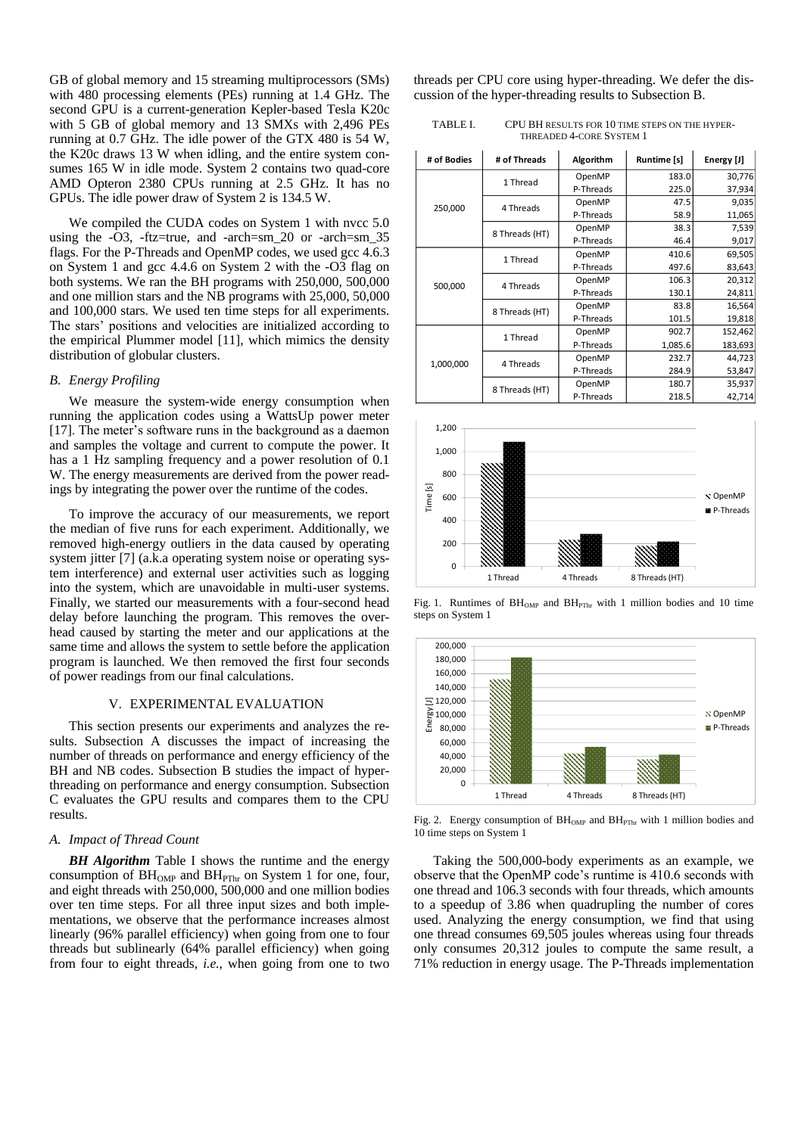GB of global memory and 15 streaming multiprocessors (SMs) with 480 processing elements (PEs) running at 1.4 GHz. The second GPU is a current-generation Kepler-based Tesla K20c with 5 GB of global memory and 13 SMXs with 2,496 PEs running at 0.7 GHz. The idle power of the GTX 480 is 54 W, the K20c draws 13 W when idling, and the entire system consumes 165 W in idle mode. System 2 contains two quad-core AMD Opteron 2380 CPUs running at 2.5 GHz. It has no GPUs. The idle power draw of System 2 is 134.5 W.

We compiled the CUDA codes on System 1 with nvcc 5.0 using the -O3, -ftz=true, and -arch=sm\_20 or -arch=sm\_35 flags. For the P-Threads and OpenMP codes, we used gcc 4.6.3 on System 1 and gcc 4.4.6 on System 2 with the -O3 flag on both systems. We ran the BH programs with 250,000, 500,000 and one million stars and the NB programs with 25,000, 50,000 and 100,000 stars. We used ten time steps for all experiments. The stars' positions and velocities are initialized according to the empirical Plummer model [\[11\],](#page-7-15) which mimics the density distribution of globular clusters.

## *B. Energy Profiling*

We measure the system-wide energy consumption when running the application codes using a WattsUp power meter [\[17\].](#page-7-16) The meter's software runs in the background as a daemon and samples the voltage and current to compute the power. It has a 1 Hz sampling frequency and a power resolution of 0.1 W. The energy measurements are derived from the power readings by integrating the power over the runtime of the codes.

To improve the accuracy of our measurements, we report the median of five runs for each experiment. Additionally, we removed high-energy outliers in the data caused by operating system jitter [\[7\]](#page-7-17) (a.k.a operating system noise or operating system interference) and external user activities such as logging into the system, which are unavoidable in multi-user systems. Finally, we started our measurements with a four-second head delay before launching the program. This removes the overhead caused by starting the meter and our applications at the same time and allows the system to settle before the application program is launched. We then removed the first four seconds of power readings from our final calculations.

## V. EXPERIMENTAL EVALUATION

This section presents our experiments and analyzes the results. Subsection A discusses the impact of increasing the number of threads on performance and energy efficiency of the BH and NB codes. Subsection B studies the impact of hyperthreading on performance and energy consumption. Subsection C evaluates the GPU results and compares them to the CPU results.

### *A. Impact of Thread Count*

*BH Algorithm* Table I shows the runtime and the energy consumption of  $BH<sub>OMP</sub>$  and  $BH<sub>PThr</sub>$  on System 1 for one, four, and eight threads with 250,000, 500,000 and one million bodies over ten time steps. For all three input sizes and both implementations, we observe that the performance increases almost linearly (96% parallel efficiency) when going from one to four threads but sublinearly (64% parallel efficiency) when going from four to eight threads, *i.e.*, when going from one to two

threads per CPU core using hyper-threading. We defer the discussion of the hyper-threading results to Subsection B.

TABLE I. CPU BH RESULTS FOR 10 TIME STEPS ON THE HYPER-THREADED 4-CORE SYSTEM 1

| # of Bodies | # of Threads   | Algorithm                                                                                                                                           | Runtime [s] | Energy [J] |
|-------------|----------------|-----------------------------------------------------------------------------------------------------------------------------------------------------|-------------|------------|
|             | 1 Thread       | OpenMP                                                                                                                                              | 183.0       | 30,776     |
|             |                | P-Threads                                                                                                                                           | 225.0       | 37,934     |
| 250,000     | 4 Threads      | OpenMP                                                                                                                                              | 47.5        | 9,035      |
|             |                | P-Threads<br>OpenMP<br>P-Threads<br>OpenMP<br>P-Threads<br>OpenMP<br>P-Threads<br>OpenMP<br>P-Threads<br>OpenMP<br>P-Threads<br>OpenMP<br>P-Threads | 58.9        | 11,065     |
|             | 8 Threads (HT) |                                                                                                                                                     | 38.3        | 7,539      |
|             |                |                                                                                                                                                     | 46.4        | 9,017      |
|             | 1 Thread       |                                                                                                                                                     | 410.6       | 69,505     |
|             |                |                                                                                                                                                     | 497.6       | 83,643     |
| 500,000     | 4 Threads      |                                                                                                                                                     | 106.3       | 20,312     |
|             |                |                                                                                                                                                     | 130.1       | 24,811     |
|             | 8 Threads (HT) |                                                                                                                                                     | 83.8        | 16,564     |
|             |                |                                                                                                                                                     | 101.5       | 19,818     |
|             | 1 Thread       |                                                                                                                                                     | 902.7       | 152,462    |
|             |                |                                                                                                                                                     | 1,085.6     | 183,693    |
| 1,000,000   | 4 Threads      |                                                                                                                                                     | 232.7       | 44,723     |
|             |                |                                                                                                                                                     | 284.9       | 53,847     |
|             | 8 Threads (HT) | OpenMP                                                                                                                                              | 180.7       | 35,937     |
|             |                | P-Threads                                                                                                                                           | 218.5       | 42,714     |



Fig. 1. Runtimes of  $BH<sub>OMP</sub>$  and  $BH<sub>PThr</sub>$  with 1 million bodies and 10 time steps on System 1



Fig. 2. Energy consumption of  $BH_{OMP}$  and  $BH_{PThr}$  with 1 million bodies and 10 time steps on System 1

Taking the 500,000-body experiments as an example, we observe that the OpenMP code's runtime is 410.6 seconds with one thread and 106.3 seconds with four threads, which amounts to a speedup of 3.86 when quadrupling the number of cores used. Analyzing the energy consumption, we find that using one thread consumes 69,505 joules whereas using four threads only consumes 20,312 joules to compute the same result, a 71% reduction in energy usage. The P-Threads implementation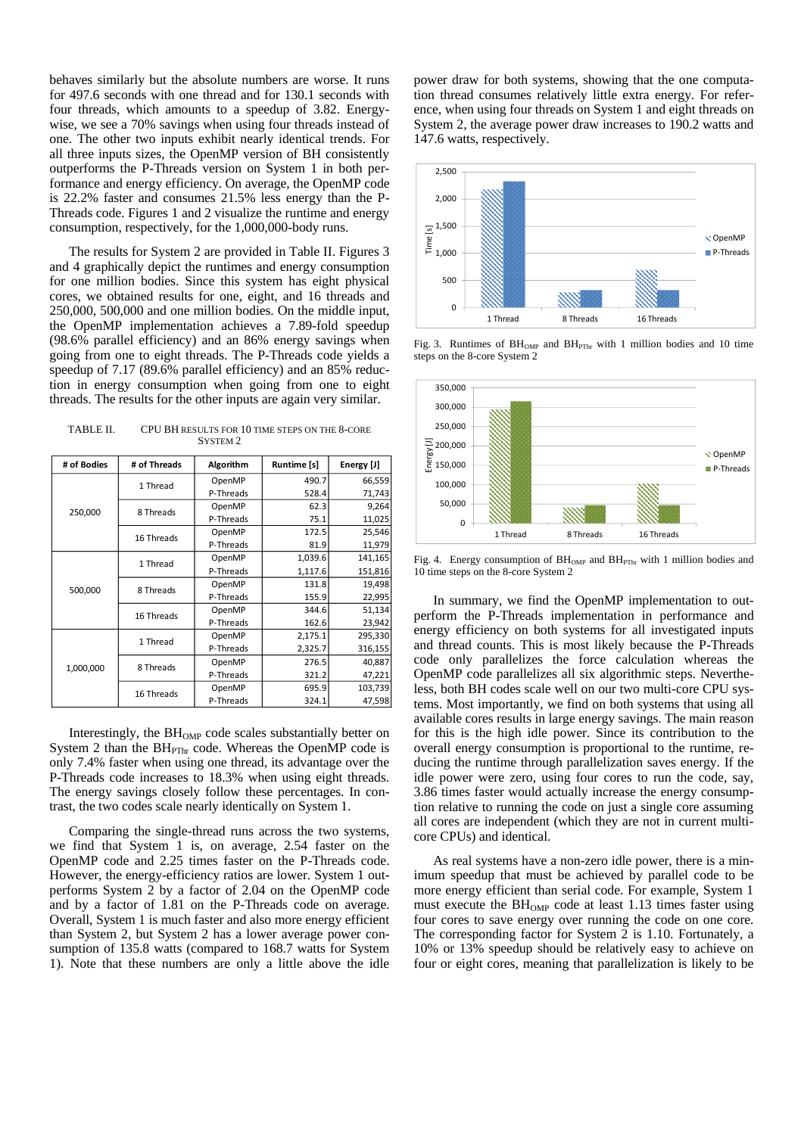behaves similarly but the absolute numbers are worse. It runs for 497.6 seconds with one thread and for 130.1 seconds with four threads, which amounts to a speedup of 3.82. Energywise, we see a 70% savings when using four threads instead of one. The other two inputs exhibit nearly identical trends. For all three inputs sizes, the OpenMP version of BH consistently outperforms the P-Threads version on System 1 in both performance and energy efficiency. On average, the OpenMP code is 22.2% faster and consumes 21.5% less energy than the P-Threads code. Figures 1 and 2 visualize the runtime and energy consumption, respectively, for the 1,000,000-body runs.

The results for System 2 are provided in Table II. Figures 3 and 4 graphically depict the runtimes and energy consumption for one million bodies. Since this system has eight physical cores, we obtained results for one, eight, and 16 threads and 250,000, 500,000 and one million bodies. On the middle input, the OpenMP implementation achieves a 7.89-fold speedup (98.6% parallel efficiency) and an 86% energy savings when going from one to eight threads. The P-Threads code yields a speedup of 7.17 (89.6% parallel efficiency) and an 85% reduction in energy consumption when going from one to eight threads. The results for the other inputs are again very similar.

TABLE II. CPU BH RESULTS FOR 10 TIME STEPS ON THE 8-CORE SYSTEM 2

| # of Bodies | # of Threads | Algorithm | Runtime [s] | Energy [J] |
|-------------|--------------|-----------|-------------|------------|
|             | 1 Thread     | OpenMP    | 490.7       | 66,559     |
|             |              | P-Threads | 528.4       | 71,743     |
| 250,000     | 8 Threads    | OpenMP    | 62.3        | 9,264      |
|             |              | P-Threads | 75.1        | 11,025     |
|             | 16 Threads   | OpenMP    | 172.5       | 25,546     |
|             |              | P-Threads | 81.9        | 11,979     |
|             | 1 Thread     | OpenMP    | 1,039.6     | 141,165    |
| 500,000     |              | P-Threads | 1,117.6     | 151,816    |
|             | 8 Threads    | OpenMP    | 131.8       | 19,498     |
|             |              | P-Threads | 155.9       | 22,995     |
|             | 16 Threads   | OpenMP    | 344.6       | 51,134     |
|             |              | P-Threads | 162.6       | 23,942     |
|             | 1 Thread     | OpenMP    | 2,175.1     | 295,330    |
|             |              | P-Threads | 2,325.7     | 316,155    |
| 1,000,000   | 8 Threads    | OpenMP    | 276.5       | 40,887     |
|             |              | P-Threads | 321.2       | 47,221     |
|             | 16 Threads   | OpenMP    | 695.9       | 103,739    |
|             |              | P-Threads | 324.1       | 47,598     |

Interestingly, the  $BH<sub>OMP</sub>$  code scales substantially better on System 2 than the  $BH_{PThr}$  code. Whereas the OpenMP code is only 7.4% faster when using one thread, its advantage over the P-Threads code increases to 18.3% when using eight threads. The energy savings closely follow these percentages. In contrast, the two codes scale nearly identically on System 1.

Comparing the single-thread runs across the two systems, we find that System 1 is, on average, 2.54 faster on the OpenMP code and 2.25 times faster on the P-Threads code. However, the energy-efficiency ratios are lower. System 1 outperforms System 2 by a factor of 2.04 on the OpenMP code and by a factor of 1.81 on the P-Threads code on average. Overall, System 1 is much faster and also more energy efficient than System 2, but System 2 has a lower average power consumption of 135.8 watts (compared to 168.7 watts for System 1). Note that these numbers are only a little above the idle

power draw for both systems, showing that the one computation thread consumes relatively little extra energy. For reference, when using four threads on System 1 and eight threads on System 2, the average power draw increases to 190.2 watts and 147.6 watts, respectively.



Fig. 3. Runtimes of  $BH<sub>OMP</sub>$  and  $BH<sub>PThr</sub>$  with 1 million bodies and 10 time steps on the 8-core System 2



Fig. 4. Energy consumption of  $BH_{OMP}$  and  $BH_{PThr}$  with 1 million bodies and 10 time steps on the 8-core System 2

In summary, we find the OpenMP implementation to outperform the P-Threads implementation in performance and energy efficiency on both systems for all investigated inputs and thread counts. This is most likely because the P-Threads code only parallelizes the force calculation whereas the OpenMP code parallelizes all six algorithmic steps. Nevertheless, both BH codes scale well on our two multi-core CPU systems. Most importantly, we find on both systems that using all available cores results in large energy savings. The main reason for this is the high idle power. Since its contribution to the overall energy consumption is proportional to the runtime, reducing the runtime through parallelization saves energy. If the idle power were zero, using four cores to run the code, say, 3.86 times faster would actually increase the energy consumption relative to running the code on just a single core assuming all cores are independent (which they are not in current multicore CPUs) and identical.

As real systems have a non-zero idle power, there is a minimum speedup that must be achieved by parallel code to be more energy efficient than serial code. For example, System 1 must execute the  $BH<sub>OMP</sub>$  code at least 1.13 times faster using four cores to save energy over running the code on one core. The corresponding factor for System 2 is 1.10. Fortunately, a 10% or 13% speedup should be relatively easy to achieve on four or eight cores, meaning that parallelization is likely to be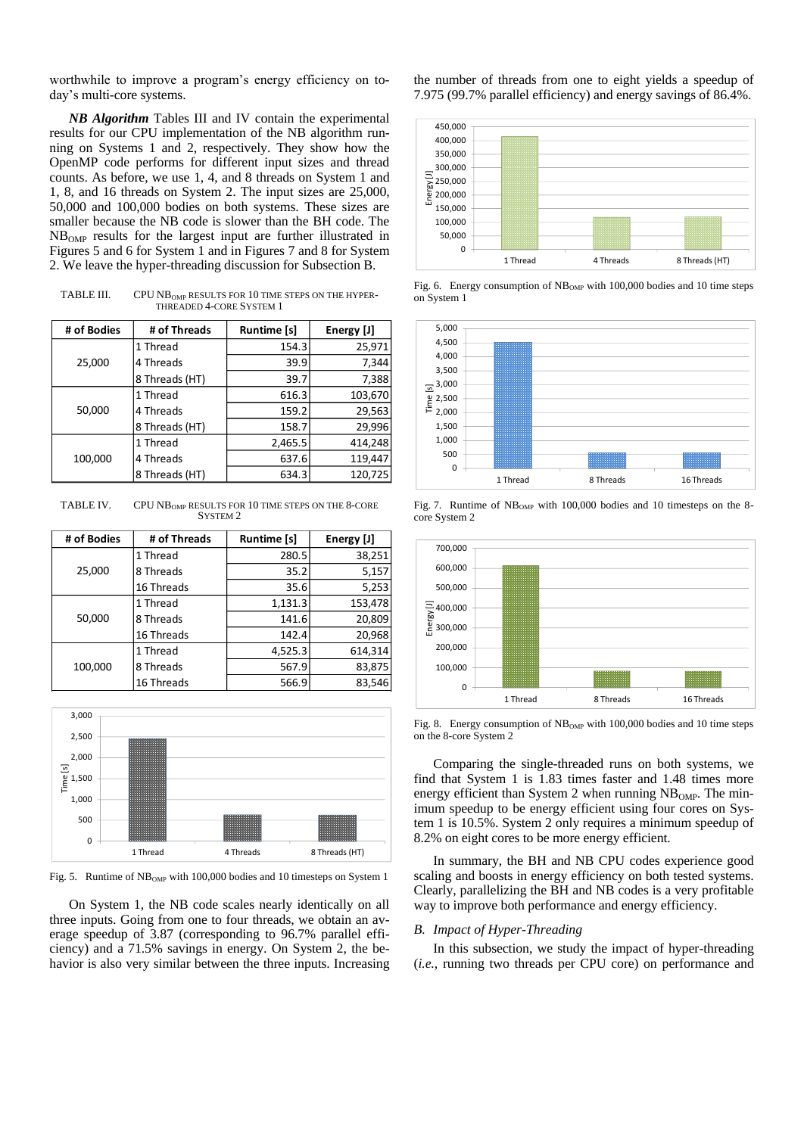worthwhile to improve a program's energy efficiency on today's multi-core systems.

*NB Algorithm* Tables III and IV contain the experimental results for our CPU implementation of the NB algorithm running on Systems 1 and 2, respectively. They show how the OpenMP code performs for different input sizes and thread counts. As before, we use 1, 4, and 8 threads on System 1 and 1, 8, and 16 threads on System 2. The input sizes are 25,000, 50,000 and 100,000 bodies on both systems. These sizes are smaller because the NB code is slower than the BH code. The NBOMP results for the largest input are further illustrated in Figures 5 and 6 for System 1 and in Figures 7 and 8 for System 2. We leave the hyper-threading discussion for Subsection B.

TABLE III. CPU NB<sub>OMP</sub> RESULTS FOR 10 TIME STEPS ON THE HYPER-THREADED 4-CORE SYSTEM 1

| # of Bodies | # of Threads   | <b>Runtime [s]</b> | Energy [J] |
|-------------|----------------|--------------------|------------|
|             | 1 Thread       | 154.3              | 25,971     |
| 25,000      | 4 Threads      | 39.9               | 7,344      |
|             | 8 Threads (HT) | 39.7               | 7,388      |
|             | 1 Thread       | 616.3              | 103,670    |
| 50,000      | 4 Threads      | 159.2              | 29,563     |
|             | 8 Threads (HT) | 158.7              | 29,996     |
|             | 1 Thread       | 2,465.5            | 414,248    |
| 100,000     | 4 Threads      | 637.6              | 119,447    |
|             | 8 Threads (HT) | 634.3              | 120,725    |

TABLE IV. CPU NB<sub>OMP</sub> RESULTS FOR 10 TIME STEPS ON THE 8-CORE SYSTEM<sub>2</sub>

| # of Bodies | # of Threads | <b>Runtime [s]</b> | Energy [J] |
|-------------|--------------|--------------------|------------|
|             | 1 Thread     | 280.5              | 38,251     |
| 25,000      | 8 Threads    | 35.2               | 5,157      |
|             | 16 Threads   | 35.6               | 5,253      |
|             | 1 Thread     | 1,131.3            | 153,478    |
| 50,000      | 8 Threads    | 141.6              | 20,809     |
|             | 16 Threads   | 142.4              | 20,968     |
|             | 1 Thread     | 4,525.3            | 614,314    |
| 100,000     | 8 Threads    | 567.9              | 83,875     |
|             | 16 Threads   | 566.9              | 83,546     |



Fig. 5. Runtime of  $NB<sub>OMP</sub>$  with 100,000 bodies and 10 timesteps on System 1

On System 1, the NB code scales nearly identically on all three inputs. Going from one to four threads, we obtain an average speedup of 3.87 (corresponding to 96.7% parallel efficiency) and a 71.5% savings in energy. On System 2, the behavior is also very similar between the three inputs. Increasing the number of threads from one to eight yields a speedup of 7.975 (99.7% parallel efficiency) and energy savings of 86.4%.



Fig. 6. Energy consumption of NB<sub>OMP</sub> with 100,000 bodies and 10 time steps on System 1



Fig. 7. Runtime of  $NB<sub>OMP</sub>$  with 100,000 bodies and 10 timesteps on the 8core System 2



Fig. 8. Energy consumption of  $NB<sub>OMP</sub>$  with 100,000 bodies and 10 time steps on the 8-core System 2

Comparing the single-threaded runs on both systems, we find that System 1 is 1.83 times faster and 1.48 times more energy efficient than System 2 when running  $NB<sub>OMP</sub>$ . The minimum speedup to be energy efficient using four cores on System 1 is 10.5%. System 2 only requires a minimum speedup of 8.2% on eight cores to be more energy efficient.

In summary, the BH and NB CPU codes experience good scaling and boosts in energy efficiency on both tested systems. Clearly, parallelizing the BH and NB codes is a very profitable way to improve both performance and energy efficiency.

## *B. Impact of Hyper-Threading*

In this subsection, we study the impact of hyper-threading (*i.e.*, running two threads per CPU core) on performance and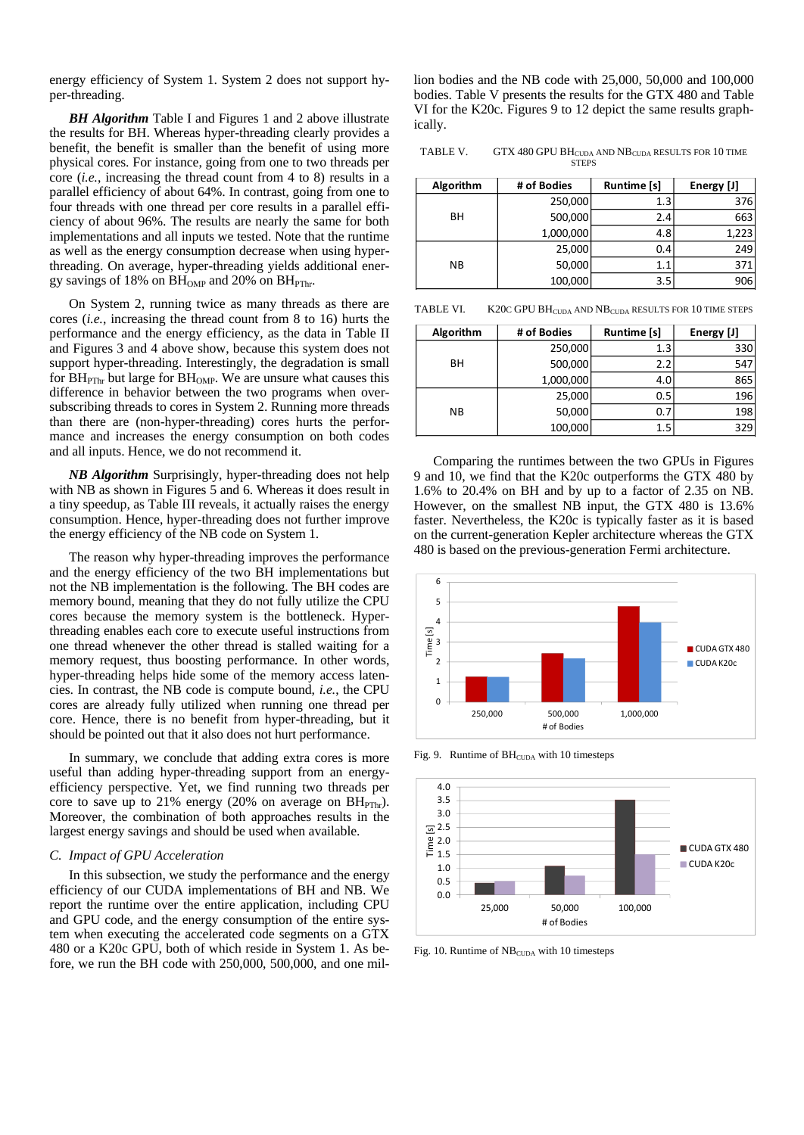energy efficiency of System 1. System 2 does not support hyper-threading.

**BH Algorithm** Table I and Figures 1 and 2 above illustrate the results for BH. Whereas hyper-threading clearly provides a benefit, the benefit is smaller than the benefit of using more physical cores. For instance, going from one to two threads per core (*i.e.*, increasing the thread count from 4 to 8) results in a parallel efficiency of about 64%. In contrast, going from one to four threads with one thread per core results in a parallel efficiency of about 96%. The results are nearly the same for both implementations and all inputs we tested. Note that the runtime as well as the energy consumption decrease when using hyperthreading. On average, hyper-threading yields additional energy savings of 18% on  $BH_{OMP}$  and 20% on  $BH_{PThr}$ .

On System 2, running twice as many threads as there are cores (*i.e.*, increasing the thread count from 8 to 16) hurts the performance and the energy efficiency, as the data in Table II and Figures 3 and 4 above show, because this system does not support hyper-threading. Interestingly, the degradation is small for  $BH_{PThr}$  but large for  $BH_{OMP}$ . We are unsure what causes this difference in behavior between the two programs when oversubscribing threads to cores in System 2. Running more threads than there are (non-hyper-threading) cores hurts the performance and increases the energy consumption on both codes and all inputs. Hence, we do not recommend it.

*NB Algorithm* Surprisingly, hyper-threading does not help with NB as shown in Figures 5 and 6. Whereas it does result in a tiny speedup, as Table III reveals, it actually raises the energy consumption. Hence, hyper-threading does not further improve the energy efficiency of the NB code on System 1.

The reason why hyper-threading improves the performance and the energy efficiency of the two BH implementations but not the NB implementation is the following. The BH codes are memory bound, meaning that they do not fully utilize the CPU cores because the memory system is the bottleneck. Hyperthreading enables each core to execute useful instructions from one thread whenever the other thread is stalled waiting for a memory request, thus boosting performance. In other words, hyper-threading helps hide some of the memory access latencies. In contrast, the NB code is compute bound, *i.e.*, the CPU cores are already fully utilized when running one thread per core. Hence, there is no benefit from hyper-threading, but it should be pointed out that it also does not hurt performance.

In summary, we conclude that adding extra cores is more useful than adding hyper-threading support from an energyefficiency perspective. Yet, we find running two threads per core to save up to 21% energy (20% on average on  $BH_{PThr}$ ). Moreover, the combination of both approaches results in the largest energy savings and should be used when available.

### *C. Impact of GPU Acceleration*

In this subsection, we study the performance and the energy efficiency of our CUDA implementations of BH and NB. We report the runtime over the entire application, including CPU and GPU code, and the energy consumption of the entire system when executing the accelerated code segments on a GTX 480 or a K20c GPU, both of which reside in System 1. As before, we run the BH code with 250,000, 500,000, and one million bodies and the NB code with 25,000, 50,000 and 100,000 bodies. Table V presents the results for the GTX 480 and Table VI for the K20c. Figures 9 to 12 depict the same results graphically.

TABLE V.  $GTX 480 GPU BH<sub>CUDA</sub> AND NB<sub>CUDA</sub> RESULTS FOR 10 TIME$ **STEPS** 

| Algorithm | # of Bodies | Runtime [s] | Energy [J] |
|-----------|-------------|-------------|------------|
|           | 250,000     | 1.3         | 376        |
| BH        | 500,000     | 2.4         | 663        |
|           | 1,000,000   | 4.8         | 1,223      |
|           | 25,000      | 0.4         | 249        |
| NΒ        | 50,000      | 1.1         | 371        |
|           | 100,000     | 3.5         | 906        |

TABLE VI. K20C GPU BH<sub>CUDA</sub> AND NB<sub>CUDA</sub> RESULTS FOR 10 TIME STEPS

| Algorithm | # of Bodies | Runtime [s] | Energy [J] |
|-----------|-------------|-------------|------------|
|           | 250,000     | 1.3         | 330        |
| BH        | 500,000     | 2.2         | 547        |
|           | 1,000,000   | 4.0         | 865        |
|           | 25,000      | 0.5         | 196        |
| <b>NB</b> | 50,000      | 0.7         | 198        |
|           | 100,000     | 1.5         | 329        |

Comparing the runtimes between the two GPUs in Figures 9 and 10, we find that the K20c outperforms the GTX 480 by 1.6% to 20.4% on BH and by up to a factor of 2.35 on NB. However, on the smallest NB input, the GTX 480 is 13.6% faster. Nevertheless, the K20c is typically faster as it is based on the current-generation Kepler architecture whereas the GTX 480 is based on the previous-generation Fermi architecture.



Fig. 9. Runtime of  $BH_{\text{CUDA}}$  with 10 timesteps



Fig. 10. Runtime of NB<sub>CUDA</sub> with 10 timesteps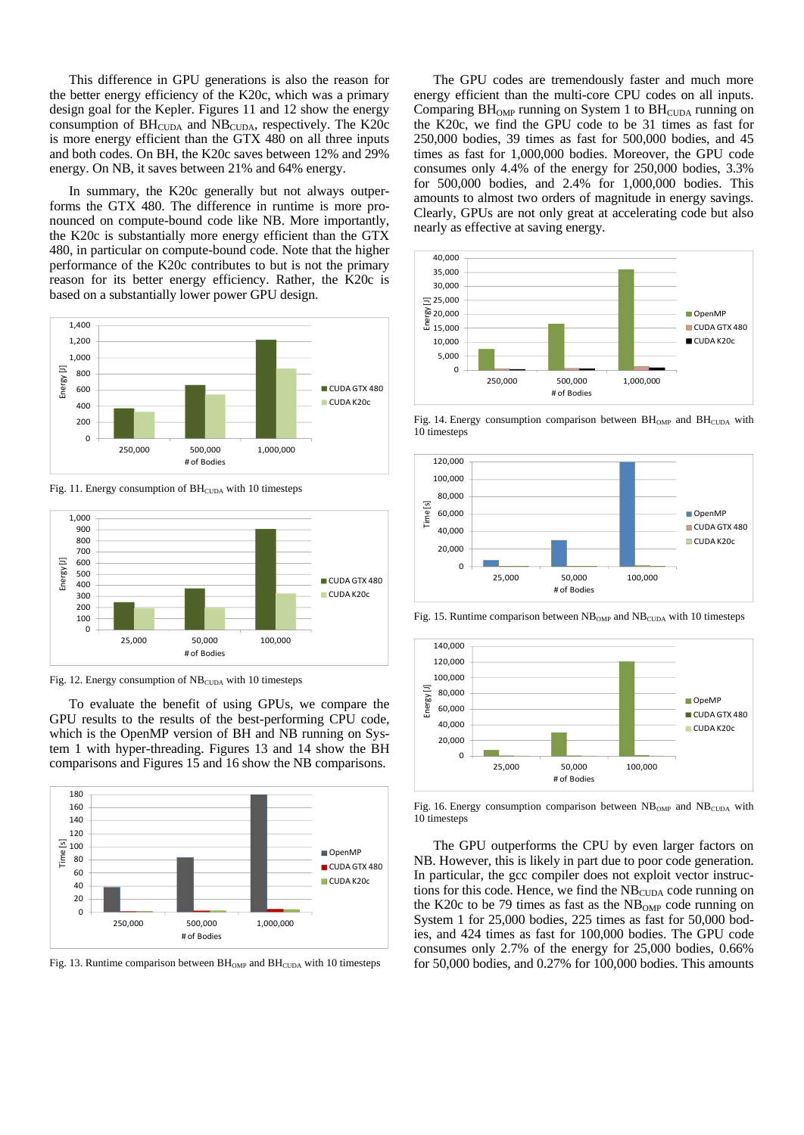This difference in GPU generations is also the reason for the better energy efficiency of the K20c, which was a primary design goal for the Kepler. Figures 11 and 12 show the energy consumption of  $BH_{\text{CUDA}}$  and  $NB_{\text{CUDA}}$ , respectively. The K20c is more energy efficient than the GTX 480 on all three inputs and both codes. On BH, the K20c saves between 12% and 29% energy. On NB, it saves between 21% and 64% energy.

In summary, the K20c generally but not always outperforms the GTX 480. The difference in runtime is more pronounced on compute-bound code like NB. More importantly, the K20c is substantially more energy efficient than the GTX 480, in particular on compute-bound code. Note that the higher performance of the K20c contributes to but is not the primary reason for its better energy efficiency. Rather, the K20c is based on a substantially lower power GPU design.



Fig. 11. Energy consumption of  $BH_{\text{CUDA}}$  with 10 timesteps



Fig. 12. Energy consumption of NB<sub>CUDA</sub> with 10 timesteps

To evaluate the benefit of using GPUs, we compare the GPU results to the results of the best-performing CPU code, which is the OpenMP version of BH and NB running on System 1 with hyper-threading. Figures 13 and 14 show the BH comparisons and Figures 15 and 16 show the NB comparisons.



Fig. 13. Runtime comparison between  $BH_{\text{OMP}}$  and  $BH_{\text{CUDA}}$  with 10 timesteps

The GPU codes are tremendously faster and much more energy efficient than the multi-core CPU codes on all inputs. Comparing  $BH<sub>OMP</sub>$  running on System 1 to  $BH<sub>CUDA</sub>$  running on the K20c, we find the GPU code to be 31 times as fast for 250,000 bodies, 39 times as fast for 500,000 bodies, and 45 times as fast for 1,000,000 bodies. Moreover, the GPU code consumes only 4.4% of the energy for 250,000 bodies, 3.3% for 500,000 bodies, and 2.4% for 1,000,000 bodies. This amounts to almost two orders of magnitude in energy savings. Clearly, GPUs are not only great at accelerating code but also nearly as effective at saving energy.



Fig. 14. Energy consumption comparison between  $BH_{OMP}$  and  $BH_{CUDA}$  with 10 timesteps



Fig. 15. Runtime comparison between  $NB<sub>OMP</sub>$  and  $NB<sub>CUDA</sub>$  with 10 timesteps



Fig. 16. Energy consumption comparison between  $NB<sub>OMP</sub>$  and  $NB<sub>CUDA</sub>$  with 10 timesteps

The GPU outperforms the CPU by even larger factors on NB. However, this is likely in part due to poor code generation. In particular, the gcc compiler does not exploit vector instructions for this code. Hence, we find the NB<sub>CUDA</sub> code running on the K20c to be 79 times as fast as the  $NB<sub>OMP</sub>$  code running on System 1 for 25,000 bodies, 225 times as fast for 50,000 bodies, and 424 times as fast for 100,000 bodies. The GPU code consumes only 2.7% of the energy for 25,000 bodies, 0.66% for 50,000 bodies, and 0.27% for 100,000 bodies. This amounts